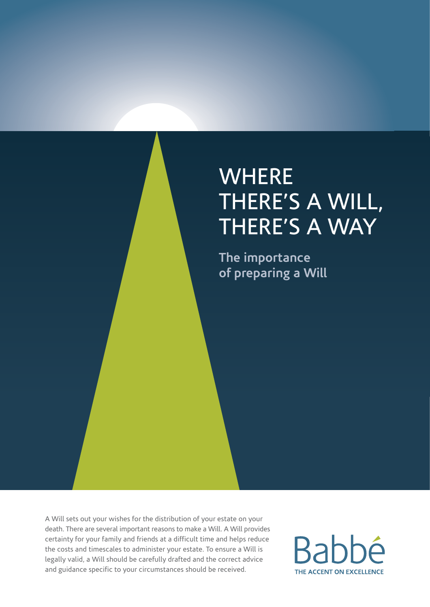# **WHERE** VVITENE<br>THERE'S A WILL, THERE'S A WAY

**The importance of preparing a Will**

A Will sets out your wishes for the distribution of your estate on your death. There are several important reasons to make a Will. A Will provides certainty for your family and friends at a difficult time and helps reduce the costs and timescales to administer your estate. To ensure a Will is legally valid, a Will should be carefully drafted and the correct advice and guidance specific to your circumstances should be received.

**Babbé** THE ACCENT ON EXCELLENCE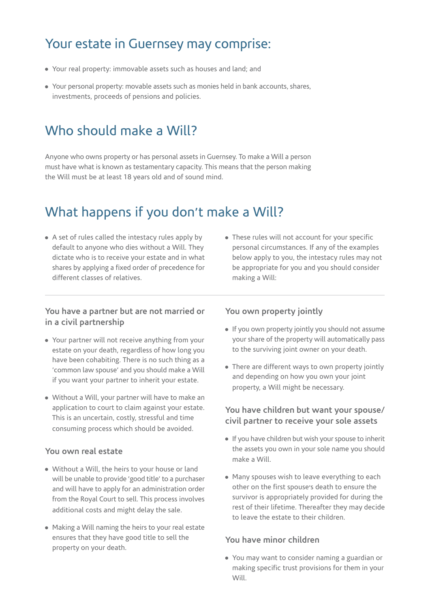### Your estate in Guernsey may comprise:

- Your real property: immovable assets such as houses and land; and
- Your personal property: movable assets such as monies held in bank accounts, shares, investments, proceeds of pensions and policies.

## Who should make a Will?

Anyone who owns property or has personal assets in Guernsey. To make a Will a person must have what is known as testamentary capacity. This means that the person making the Will must be at least 18 years old and of sound mind.

# What happens if you don't make a Will?

- A set of rules called the intestacy rules apply by default to anyone who dies without a Will. They dictate who is to receive your estate and in what shares by applying a fixed order of precedence for different classes of relatives.
- These rules will not account for your specific personal circumstances. If any of the examples below apply to you, the intestacy rules may not be appropriate for you and you should consider making a Will:

#### **You have a partner but are not married or in a civil partnership**

- Your partner will not receive anything from your estate on your death, regardless of how long you have been cohabiting. There is no such thing as a , common law spouse, and you should make a Will if you want your partner to inherit your estate.
- Without a Will, your partner will have to make an application to court to claim against your estate. This is an uncertain, costly, stressful and time consuming process which should be avoided.

#### **You own real estate**

- Without a Will, the heirs to your house or land will be unable to provide 'good title' to a purchaser and will have to apply for an administration order from the Royal Court to sell. This process involves additional costs and might delay the sale.
- Making a Will naming the heirs to your real estate ensures that they have good title to sell the property on your death.

#### **You own property jointly**

- If you own property jointly you should not assume your share of the property will automatically pass to the surviving joint owner on your death.
- There are different ways to own property jointly and depending on how you own your joint property, a Will might be necessary.

#### **You have children but want your spouse/ civil partner to receive your sole assets**

- If you have children but wish your spouse to inherit the assets you own in your sole name you should make a Will.
- Many spouses wish to leave everything to each other on the first spouse's death to ensure the survivor is appropriately provided for during the rest of their lifetime. Thereafter they may decide to leave the estate to their children.

#### **You have minor children**

- You may want to consider naming a guardian or making specific trust provisions for them in your Will.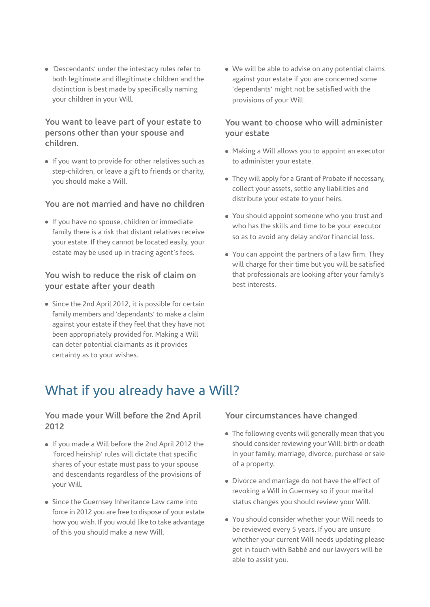• 'Descendants' under the intestacy rules refer to both legitimate and illegitimate children and the distinction is best made by specifically naming your children in your Will.

#### **You want to leave part of your estate to persons other than your spouse and children.**

- If you want to provide for other relatives such as step-children, or leave a gift to friends or charity, you should make a Will.

#### **You are not married and have no children**

- If you have no spouse, children or immediate family there is a risk that distant relatives receive your estate. If they cannot be located easily, your .<br>estate may be used up in tracing agent's fees.

#### **You wish to reduce the risk of claim on your estate after your death**

• Since the 2nd April 2012, it is possible for certain ending<br>family members and 'dependants' to make a claim against your estate if they feel that they have not been appropriately provided for. Making a Will can deter potential claimants as it provides certainty as to your wishes.

- We will be able to advise on any potential claims against your estate if you are concerned some , dependants, might not be satisfied with the provisions of your Will.

#### **You want to choose who will administer your estate**

- Making a Will allows you to appoint an executor to administer your estate.
- They will apply for a Grant of Probate if necessary, collect your assets, settle any liabilities and distribute your estate to your heirs.
- You should appoint someone who you trust and who has the skills and time to be your executor so as to avoid any delay and/or financial loss.
- You can appoint the partners of a law firm. They will charge for their time but you will be satisfied that professionals are looking after your family, s best interests.

## What if you already have a Will?

#### **You made your Will before the 2nd April 2012**

- If you made a Will before the 2nd April 2012 the , .<br>forced heirship' rules will dictate that specific shares of your estate must pass to your spouse and descendants regardless of the provisions of your Will.
- Since the Guernsey Inheritance Law came into force in 2012 you are free to dispose of your estate how you wish. If you would like to take advantage of this you should make a new Will.

#### **Your circumstances have changed**

- The following events will generally mean that you should consider reviewing your Will: birth or death in your family, marriage, divorce, purchase or sale of a property.
- Divorce and marriage do not have the effect of revoking a Will in Guernsey so if your marital status changes you should review your Will.
- You should consider whether your Will needs to be reviewed every 5 years. If you are unsure whether your current Will needs updating please get in touch with Babbé and our lawyers will be able to assist you.